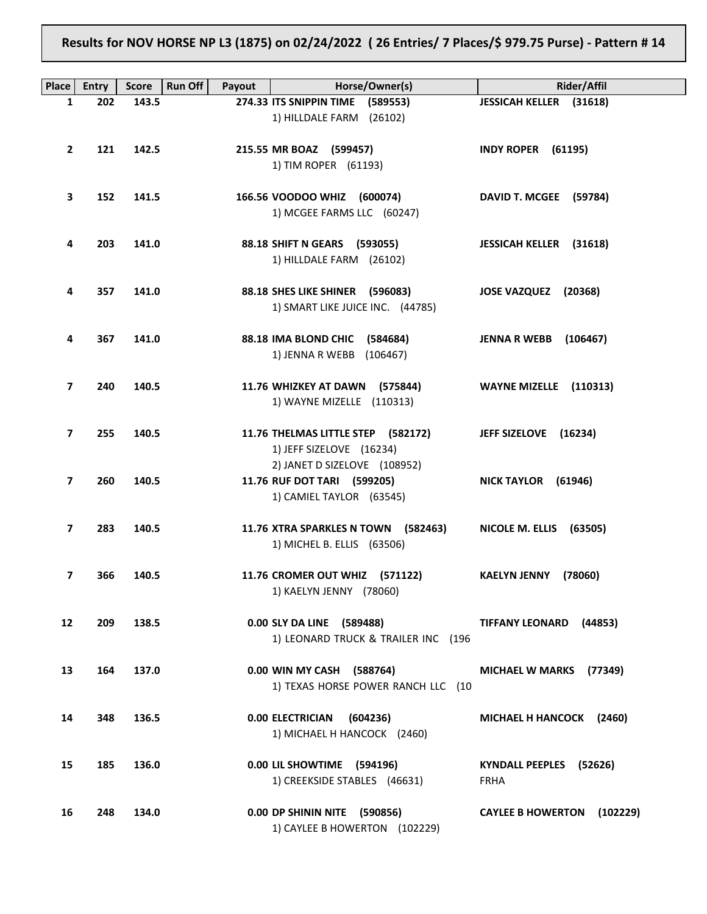**Results for NOV HORSE NP L3 (1875) on 02/24/2022 ( 26 Entries/ 7 Places/\$ 979.75 Purse) - Pattern # 14**

| Place                   | <b>Entry</b> | <b>Run Off</b><br><b>Score</b> | Payout | Horse/Owner(s)                                            | <b>Rider/Affil</b>                   |
|-------------------------|--------------|--------------------------------|--------|-----------------------------------------------------------|--------------------------------------|
| $\mathbf{1}$            | 202          | 143.5                          |        | 274.33 ITS SNIPPIN TIME (589553)                          | JESSICAH KELLER (31618)              |
|                         |              |                                |        | 1) HILLDALE FARM (26102)                                  |                                      |
|                         |              |                                |        |                                                           |                                      |
| $\mathbf{2}$            | 121          | 142.5                          |        | 215.55 MR BOAZ (599457)                                   | <b>INDY ROPER (61195)</b>            |
|                         |              |                                |        | 1) TIM ROPER (61193)                                      |                                      |
|                         |              |                                |        |                                                           |                                      |
| 3                       | 152          | 141.5                          |        | 166.56 VOODOO WHIZ (600074)                               | DAVID T. MCGEE (59784)               |
|                         |              |                                |        | 1) MCGEE FARMS LLC (60247)                                |                                      |
| 4                       | 203          | 141.0                          |        | 88.18 SHIFT N GEARS (593055)                              | JESSICAH KELLER (31618)              |
|                         |              |                                |        | 1) HILLDALE FARM (26102)                                  |                                      |
|                         |              |                                |        |                                                           |                                      |
| 4                       | 357          | 141.0                          |        | 88.18 SHES LIKE SHINER (596083)                           | JOSE VAZQUEZ (20368)                 |
|                         |              |                                |        | 1) SMART LIKE JUICE INC. (44785)                          |                                      |
|                         |              |                                |        |                                                           |                                      |
| 4                       | 367          | 141.0                          |        | 88.18 IMA BLOND CHIC (584684)                             | <b>JENNA R WEBB</b> (106467)         |
|                         |              |                                |        | 1) JENNA R WEBB (106467)                                  |                                      |
|                         |              |                                |        |                                                           |                                      |
| 7                       | 240          | 140.5                          |        | 11.76 WHIZKEY AT DAWN (575844)                            | WAYNE MIZELLE (110313)               |
|                         |              |                                |        | 1) WAYNE MIZELLE (110313)                                 |                                      |
| $\overline{\mathbf{z}}$ | 255          | 140.5                          |        | 11.76 THELMAS LITTLE STEP (582172)                        | JEFF SIZELOVE (16234)                |
|                         |              |                                |        | 1) JEFF SIZELOVE (16234)                                  |                                      |
|                         |              |                                |        | 2) JANET D SIZELOVE (108952)                              |                                      |
| $\overline{7}$          | 260          | 140.5                          |        | 11.76 RUF DOT TARI (599205)                               | NICK TAYLOR (61946)                  |
|                         |              |                                |        | 1) CAMIEL TAYLOR (63545)                                  |                                      |
|                         |              |                                |        |                                                           |                                      |
| $\overline{\mathbf{z}}$ | 283          | 140.5                          |        | 11.76 XTRA SPARKLES N TOWN (582463)                       | NICOLE M. ELLIS (63505)              |
|                         |              |                                |        | 1) MICHEL B. ELLIS (63506)                                |                                      |
|                         |              |                                |        |                                                           |                                      |
| $\overline{7}$          | 366          | 140.5                          |        | 11.76 CROMER OUT WHIZ (571122)<br>1) KAELYN JENNY (78060) | <b>KAELYN JENNY</b><br>(78060)       |
|                         |              |                                |        |                                                           |                                      |
| 12 <sup>2</sup>         | 209          | 138.5                          |        | 0.00 SLY DA LINE (589488)                                 | <b>TIFFANY LEONARD</b><br>(44853)    |
|                         |              |                                |        | 1) LEONARD TRUCK & TRAILER INC (196                       |                                      |
|                         |              |                                |        |                                                           |                                      |
| 13                      | 164          | 137.0                          |        | 0.00 WIN MY CASH (588764)                                 | <b>MICHAEL W MARKS</b><br>(77349)    |
|                         |              |                                |        | 1) TEXAS HORSE POWER RANCH LLC (10                        |                                      |
|                         |              |                                |        |                                                           |                                      |
| 14                      | 348          | 136.5                          |        | <b>0.00 ELECTRICIAN</b><br>(604236)                       | MICHAEL H HANCOCK (2460)             |
|                         |              |                                |        | 1) MICHAEL H HANCOCK (2460)                               |                                      |
| 15                      | 185          | 136.0                          |        | 0.00 LIL SHOWTIME (594196)                                | KYNDALL PEEPLES (52626)              |
|                         |              |                                |        | 1) CREEKSIDE STABLES (46631)                              | <b>FRHA</b>                          |
|                         |              |                                |        |                                                           |                                      |
| 16                      | 248          | 134.0                          |        | 0.00 DP SHININ NITE (590856)                              | <b>CAYLEE B HOWERTON</b><br>(102229) |
|                         |              |                                |        | 1) CAYLEE B HOWERTON (102229)                             |                                      |
|                         |              |                                |        |                                                           |                                      |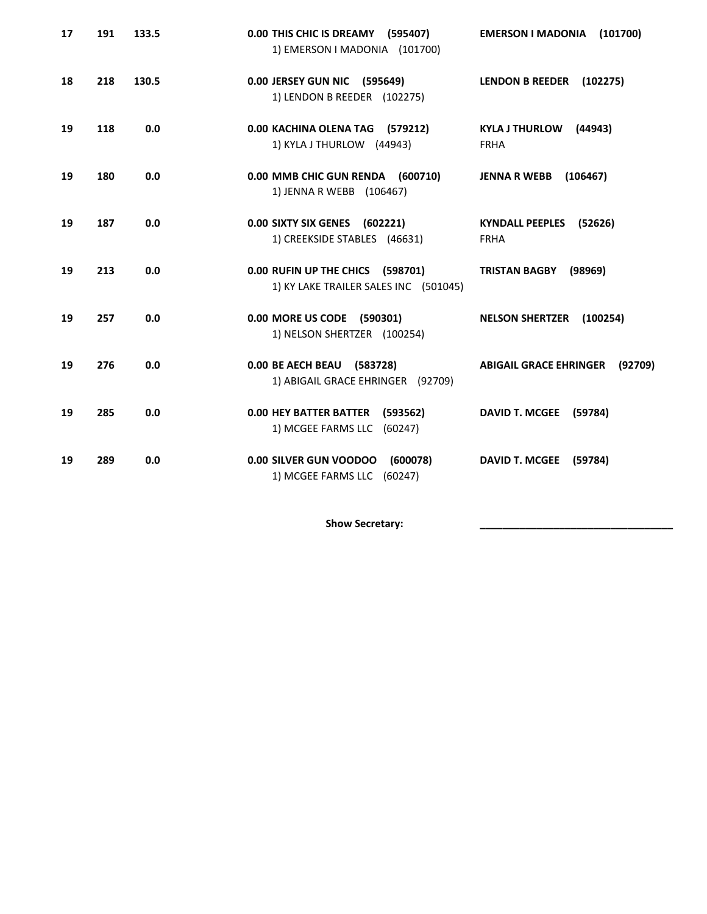| 17 | 191 | 133.5 | 0.00 THIS CHIC IS DREAMY (595407)<br>1) EMERSON I MADONIA (101700)        | <b>EMERSON I MADONIA</b><br>(101700)            |
|----|-----|-------|---------------------------------------------------------------------------|-------------------------------------------------|
| 18 | 218 | 130.5 | 0.00 JERSEY GUN NIC (595649)<br>1) LENDON B REEDER (102275)               | <b>LENDON B REEDER</b><br>(102275)              |
| 19 | 118 | 0.0   | 0.00 KACHINA OLENA TAG (579212)<br>1) KYLA J THURLOW (44943)              | <b>KYLA J THURLOW</b><br>(44943)<br><b>FRHA</b> |
| 19 | 180 | 0.0   | 0.00 MMB CHIC GUN RENDA (600710)<br>1) JENNA R WEBB (106467)              | <b>JENNA R WEBB</b><br>(106467)                 |
| 19 | 187 | 0.0   | 0.00 SIXTY SIX GENES (602221)<br>1) CREEKSIDE STABLES (46631)             | KYNDALL PEEPLES (52626)<br><b>FRHA</b>          |
| 19 | 213 | 0.0   | 0.00 RUFIN UP THE CHICS (598701)<br>1) KY LAKE TRAILER SALES INC (501045) | <b>TRISTAN BAGBY</b><br>(98969)                 |
| 19 | 257 | 0.0   | 0.00 MORE US CODE (590301)<br>1) NELSON SHERTZER (100254)                 | <b>NELSON SHERTZER</b><br>(100254)              |
| 19 | 276 | 0.0   | 0.00 BE AECH BEAU (583728)<br>1) ABIGAIL GRACE EHRINGER (92709)           | <b>ABIGAIL GRACE EHRINGER</b><br>(92709)        |
| 19 | 285 | 0.0   | <b>0.00 HEY BATTER BATTER</b><br>(593562)<br>1) MCGEE FARMS LLC (60247)   | <b>DAVID T. MCGEE</b><br>(59784)                |
| 19 | 289 | 0.0   | 0.00 SILVER GUN VOODOO<br>(600078)<br>1) MCGEE FARMS LLC (60247)          | <b>DAVID T. MCGEE</b><br>(59784)                |

**Show Secretary: \_\_\_\_\_\_\_\_\_\_\_\_\_\_\_\_\_\_\_\_\_\_\_\_\_\_\_\_\_\_\_\_\_\_**